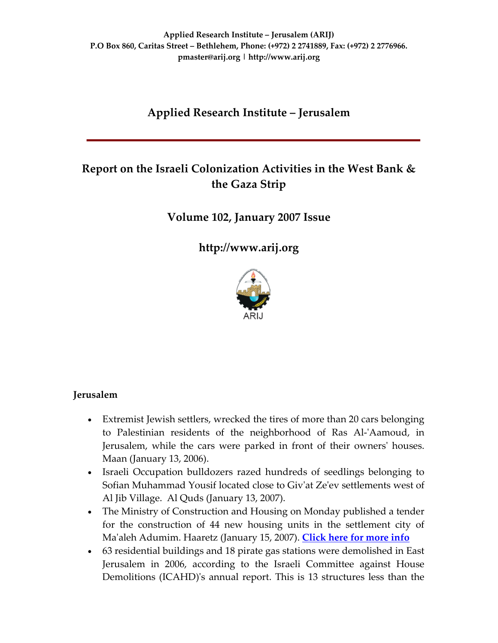# **Applied Research Institute – Jerusalem**

# **Report on the Israeli Colonization Activities in the West Bank & the Gaza Strip**

**Volume 102, January 2007 Issue**

**[http://www.arij.org](http://www.arij.org/)**



# **Jerusalem**

- Extremist Jewish settlers, wrecked the tires of more than 20 cars belonging to Palestinian residents of the neighborhood of Ras Al‐ʹAamoud, in Jerusalem, while the cars were parked in front of their ownersʹ houses. Maan (January 13, 2006).
- Israeli Occupation bulldozers razed hundreds of seedlings belonging to Sofian Muhammad Yousif located close to Givʹat Zeʹev settlements west of Al Jib Village. Al Quds (January 13, 2007).
- The Ministry of Construction and Housing on Monday published a tender for the construction of 44 new housing units in the settlement city of Maʹaleh Adumim. Haaretz (January 15, 2007). **[Click](http://www.poica.org/editor/case_studies/view.php?recordID=995) here for more info**
- 63 residential buildings and 18 pirate gas stations were demolished in East Jerusalem in 2006, according to the Israeli Committee against House Demolitions (ICAHD)'s annual report. This is 13 structures less than the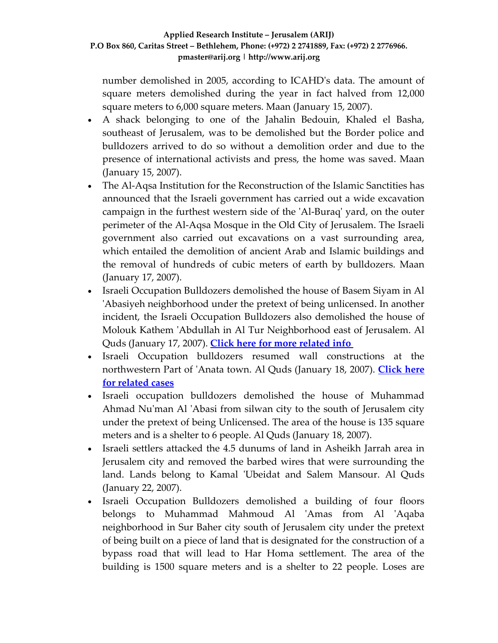number demolished in 2005, according to ICAHDʹs data. The amount of square meters demolished during the year in fact halved from 12,000 square meters to 6,000 square meters. Maan (January 15, 2007).

- A shack belonging to one of the Jahalin Bedouin, Khaled el Basha, southeast of Jerusalem, was to be demolished but the Border police and bulldozers arrived to do so without a demolition order and due to the presence of international activists and press, the home was saved. Maan (January 15, 2007).
- The Al-Aqsa Institution for the Reconstruction of the Islamic Sanctities has announced that the Israeli government has carried out a wide excavation campaign in the furthest western side of the ʹAl‐Buraqʹ yard, on the outer perimeter of the Al‐Aqsa Mosque in the Old City of Jerusalem. The Israeli government also carried out excavations on a vast surrounding area, which entailed the demolition of ancient Arab and Islamic buildings and the removal of hundreds of cubic meters of earth by bulldozers. Maan (January 17, 2007).
- Israeli Occupation Bulldozers demolished the house of Basem Siyam in Al 'Abasiyeh neighborhood under the pretext of being unlicensed. In another incident, the Israeli Occupation Bulldozers also demolished the house of Molouk Kathem ʹAbdullah in Al Tur Neighborhood east of Jerusalem. Al Quds (January 17, 2007). **Click here for more [related](http://www.poica.org/editor/case_studies/view.php?recordID=907) info**
- Israeli Occupation bulldozers resumed wall constructions at the northwestern Part of ʹAnata town. Al Quds (January 18, 2007). **[Click](http://www.poica.org/editor/case_studies/view.php?recordID=941) here for [related](http://www.poica.org/editor/case_studies/view.php?recordID=941) cases**
- Israeli occupation bulldozers demolished the house of Muhammad Ahmad Nuʹman Al ʹAbasi from silwan city to the south of Jerusalem city under the pretext of being Unlicensed. The area of the house is 135 square meters and is a shelter to 6 people. Al Quds (January 18, 2007).
- Israeli settlers attacked the 4.5 dunums of land in Asheikh Jarrah area in Jerusalem city and removed the barbed wires that were surrounding the land. Lands belong to Kamal 'Ubeidat and Salem Mansour. Al Quds (January 22, 2007).
- Israeli Occupation Bulldozers demolished a building of four floors belongs to Muhammad Mahmoud Al 'Amas from Al 'Aqaba neighborhood in Sur Baher city south of Jerusalem city under the pretext of being built on a piece of land that is designated for the construction of a bypass road that will lead to Har Homa settlement. The area of the building is 1500 square meters and is a shelter to 22 people. Loses are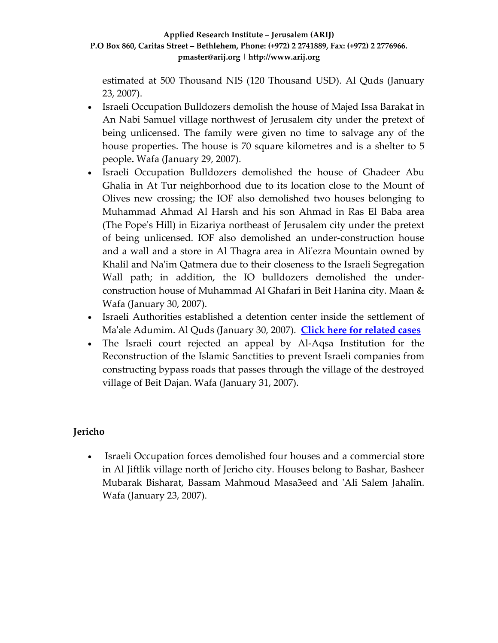estimated at 500 Thousand NIS (120 Thousand USD). Al Quds (January 23, 2007).

- Israeli Occupation Bulldozers demolish the house of Majed Issa Barakat in An Nabi Samuel village northwest of Jerusalem city under the pretext of being unlicensed. The family were given no time to salvage any of the house properties. The house is 70 square kilometres and is a shelter to 5 people**.** Wafa (January 29, 2007).
- Israeli Occupation Bulldozers demolished the house of Ghadeer Abu Ghalia in At Tur neighborhood due to its location close to the Mount of Olives new crossing; the IOF also demolished two houses belonging to Muhammad Ahmad Al Harsh and his son Ahmad in Ras El Baba area (The Popeʹs Hill) in Eizariya northeast of Jerusalem city under the pretext of being unlicensed. IOF also demolished an under‐construction house and a wall and a store in Al Thagra area in Aliʹezra Mountain owned by Khalil and Na'im Qatmera due to their closeness to the Israeli Segregation Wall path; in addition, the IO bulldozers demolished the underconstruction house of Muhammad Al Ghafari in Beit Hanina city. Maan & Wafa (January 30, 2007).
- Israeli Authorities established a detention center inside the settlement of Maʹale Adumim. Al Quds (January 30, 2007). **Click here for [related](http://www.poica.org/editor/case_studies/view.php?recordID=856) cases**
- The Israeli court rejected an appeal by Al-Aqsa Institution for the Reconstruction of the Islamic Sanctities to prevent Israeli companies from constructing bypass roads that passes through the village of the destroyed village of Beit Dajan. Wafa (January 31, 2007).

# **Jericho**

• Israeli Occupation forces demolished four houses and a commercial store in Al Jiftlik village north of Jericho city. Houses belong to Bashar, Basheer Mubarak Bisharat, Bassam Mahmoud Masa3eed and ʹAli Salem Jahalin. Wafa (January 23, 2007).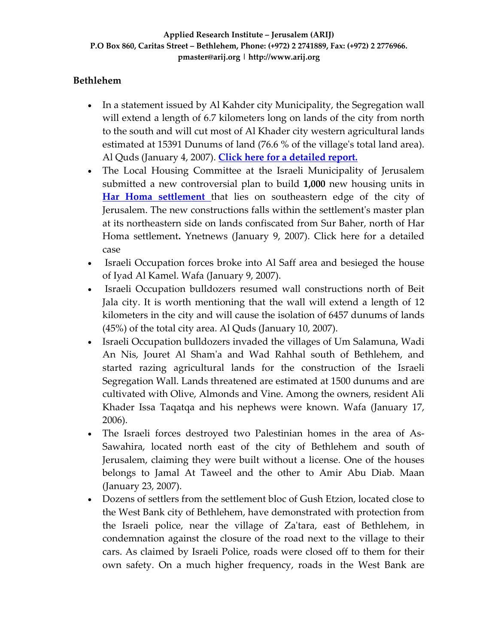# **Bethlehem**

- In a statement issued by Al Kahder city Municipality, the Segregation wall will extend a length of 6.7 kilometers long on lands of the city from north to the south and will cut most of Al Khader city western agricultural lands estimated at 15391 Dunums of land (76.6 % of the village's total land area). Al Quds (January 4, 2007). **Click here for a [detailed](http://www.poica.org/editor/case_studies/view.php?recordID=942) report.**
- The Local Housing Committee at the Israeli Municipality of Jerusalem submitted a new controversial plan to build **1,000** new housing units in **Har Homa [settlement](http://www.arij.org/images/pub/harhoma_ba_2007.jpg)** that lies on southeastern edge of the city of Jerusalem. The new constructions falls within the settlementʹs master plan at its northeastern side on lands confiscated from Sur Baher, north of Har Homa settlement**.** Ynetnews (January 9, 2007). Click here for a detailed case
- Israeli Occupation forces broke into Al Saff area and besieged the house of Iyad Al Kamel. Wafa (January 9, 2007).
- Israeli Occupation bulldozers resumed wall constructions north of Beit Jala city. It is worth mentioning that the wall will extend a length of 12 kilometers in the city and will cause the isolation of 6457 dunums of lands (45%) of the total city area. Al Quds (January 10, 2007).
- Israeli Occupation bulldozers invaded the villages of Um Salamuna, Wadi An Nis, Jouret Al Shamʹa and Wad Rahhal south of Bethlehem, and started razing agricultural lands for the construction of the Israeli Segregation Wall. Lands threatened are estimated at 1500 dunums and are cultivated with Olive, Almonds and Vine. Among the owners, resident Ali Khader Issa Taqatqa and his nephews were known. Wafa (January 17, 2006).
- The Israeli forces destroyed two Palestinian homes in the area of As-Sawahira, located north east of the city of Bethlehem and south of Jerusalem, claiming they were built without a license. One of the houses belongs to Jamal At Taweel and the other to Amir Abu Diab. Maan (January 23, 2007).
- Dozens of settlers from the settlement bloc of Gush Etzion, located close to the West Bank city of Bethlehem, have demonstrated with protection from the Israeli police, near the village of Zaʹtara, east of Bethlehem, in condemnation against the closure of the road next to the village to their cars. As claimed by Israeli Police, roads were closed off to them for their own safety. On a much higher frequency, roads in the West Bank are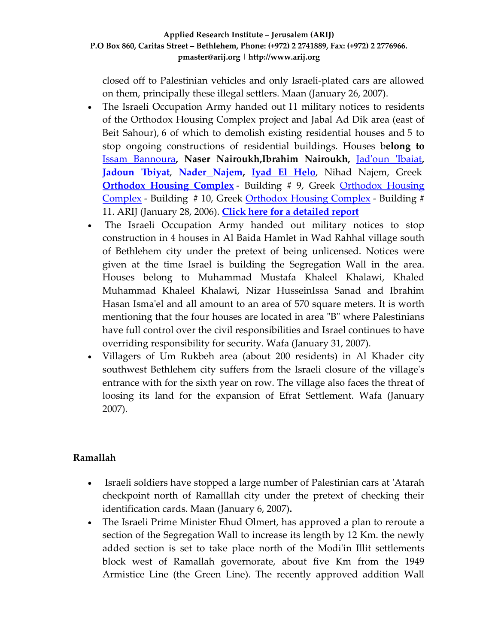closed off to Palestinian vehicles and only Israeli‐plated cars are allowed on them, principally these illegal settlers. Maan (January 26, 2007).

- The Israeli Occupation Army handed out 11 military notices to residents of the Orthodox Housing Complex project and Jabal Ad Dik area (east of Beit Sahour), 6 of which to demolish existing residential houses and 5 to stop ongoing constructions of residential buildings. Houses b**elong to** Issam [Bannoura](http://www.poica.org/editor/case_studies/isam_house.jpg)**, Naser Nairoukh,Ibrahim Nairoukh,** Jadʹoun ʹ[Ibaiat](http://www.poica.org/editor/case_studies/Jadoun_house.jpg)**, [Jadoun](http://www.poica.org/editor/case_studies/jadoun_barracks.jpg) ʹIbiyat**, **Nader [Najem](http://www.poica.org/editor/case_studies/nader_house.jpg), Iyad El [Helo](http://www.poica.org/editor/case_studies/alhelo_house.jpg)**, Nihad Najem, Greek **[Orthodox](http://www.poica.org/editor/case_studies/housing_project.jpg) Housing Complex** - Building # 9, Greek Orthodox Housing [Complex](http://www.poica.org/editor/case_studies/housing_project.jpg) ‐ Building # 10, Greek [Orthodox](http://www.poica.org/editor/case_studies/housing_project.jpg) Housing Complex ‐ Building # 11. ARIJ (January 28, 2006). **Click here for a [detailed](http://www.poica.org/editor/case_studies/view.php?recordID=987) report**
- The Israeli Occupation Army handed out military notices to stop construction in 4 houses in Al Baida Hamlet in Wad Rahhal village south of Bethlehem city under the pretext of being unlicensed. Notices were given at the time Israel is building the Segregation Wall in the area. Houses belong to Muhammad Mustafa Khaleel Khalawi, Khaled Muhammad Khaleel Khalawi, Nizar HusseinIssa Sanad and Ibrahim Hasan Isma'el and all amount to an area of 570 square meters. It is worth mentioning that the four houses are located in area "B" where Palestinians have full control over the civil responsibilities and Israel continues to have overriding responsibility for security. Wafa (January 31, 2007).
- Villagers of Um Rukbeh area (about 200 residents) in Al Khader city southwest Bethlehem city suffers from the Israeli closure of the village's entrance with for the sixth year on row. The village also faces the threat of loosing its land for the expansion of Efrat Settlement. Wafa (January 2007).

# **Ramallah**

- Israeli soldiers have stopped a large number of Palestinian cars at 'Atarah checkpoint north of Ramalllah city under the pretext of checking their identification cards. Maan (January 6, 2007)**.**
- The Israeli Prime Minister Ehud Olmert, has approved a plan to reroute a section of the Segregation Wall to increase its length by 12 Km. the newly added section is set to take place north of the Modiʹin Illit settlements block west of Ramallah governorate, about five Km from the 1949 Armistice Line (the Green Line). The recently approved addition Wall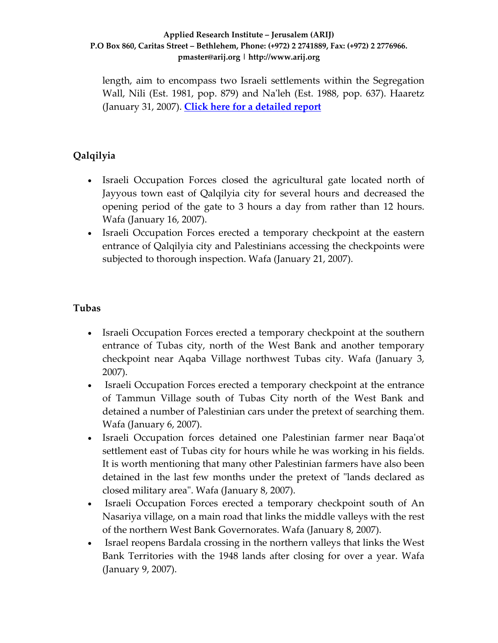length, aim to encompass two Israeli settlements within the Segregation Wall, Nili (Est. 1981, pop. 879) and Na'leh (Est. 1988, pop. 637). Haaretz (January 31, 2007). **Click here for a [detailed](http://www.poica.org/editor/case_studies/view.php?recordID=996) report**

# **Qalqilyia**

- Israeli Occupation Forces closed the agricultural gate located north of Jayyous town east of Qalqilyia city for several hours and decreased the opening period of the gate to 3 hours a day from rather than 12 hours. Wafa (January 16, 2007).
- Israeli Occupation Forces erected a temporary checkpoint at the eastern entrance of Qalqilyia city and Palestinians accessing the checkpoints were subjected to thorough inspection. Wafa (January 21, 2007).

# **Tubas**

- Israeli Occupation Forces erected a temporary checkpoint at the southern entrance of Tubas city, north of the West Bank and another temporary checkpoint near Aqaba Village northwest Tubas city. Wafa (January 3, 2007).
- Israeli Occupation Forces erected a temporary checkpoint at the entrance of Tammun Village south of Tubas City north of the West Bank and detained a number of Palestinian cars under the pretext of searching them. Wafa (January 6, 2007).
- Israeli Occupation forces detained one Palestinian farmer near Baqaʹot settlement east of Tubas city for hours while he was working in his fields. It is worth mentioning that many other Palestinian farmers have also been detained in the last few months under the pretext of "lands declared as closed military areaʺ. Wafa (January 8, 2007).
- Israeli Occupation Forces erected a temporary checkpoint south of An Nasariya village, on a main road that links the middle valleys with the rest of the northern West Bank Governorates. Wafa (January 8, 2007).
- Israel reopens Bardala crossing in the northern valleys that links the West Bank Territories with the 1948 lands after closing for over a year. Wafa (January 9, 2007).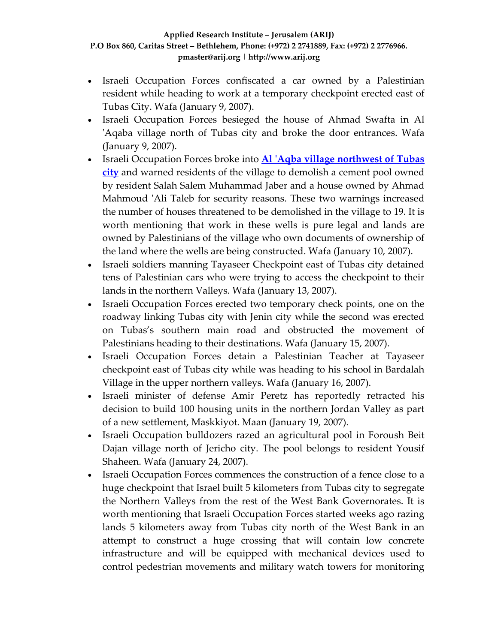- Israeli Occupation Forces confiscated a car owned by a Palestinian resident while heading to work at a temporary checkpoint erected east of Tubas City. Wafa (January 9, 2007).
- Israeli Occupation Forces besieged the house of Ahmad Swafta in Al 'Aqaba village north of Tubas city and broke the door entrances. Wafa (January 9, 2007).
- Israeli Occupation Forces broke into **Al ʹAqba village [northwest](http://www.poica.org/editor/case_studies/view.php?recordID=825) of Tubas [city](http://www.poica.org/editor/case_studies/view.php?recordID=825)** and warned residents of the village to demolish a cement pool owned by resident Salah Salem Muhammad Jaber and a house owned by Ahmad Mahmoud 'Ali Taleb for security reasons. These two warnings increased the number of houses threatened to be demolished in the village to 19. It is worth mentioning that work in these wells is pure legal and lands are owned by Palestinians of the village who own documents of ownership of the land where the wells are being constructed. Wafa (January 10, 2007).
- Israeli soldiers manning Tayaseer Checkpoint east of Tubas city detained tens of Palestinian cars who were trying to access the checkpoint to their lands in the northern Valleys. Wafa (January 13, 2007).
- Israeli Occupation Forces erected two temporary check points, one on the roadway linking Tubas city with Jenin city while the second was erected on Tubas's southern main road and obstructed the movement of Palestinians heading to their destinations. Wafa (January 15, 2007).
- Israeli Occupation Forces detain a Palestinian Teacher at Tayaseer checkpoint east of Tubas city while was heading to his school in Bardalah Village in the upper northern valleys. Wafa (January 16, 2007).
- Israeli minister of defense Amir Peretz has reportedly retracted his decision to build 100 housing units in the northern Jordan Valley as part of a new settlement, Maskkiyot. Maan (January 19, 2007).
- Israeli Occupation bulldozers razed an agricultural pool in Foroush Beit Dajan village north of Jericho city. The pool belongs to resident Yousif Shaheen. Wafa (January 24, 2007).
- Israeli Occupation Forces commences the construction of a fence close to a huge checkpoint that Israel built 5 kilometers from Tubas city to segregate the Northern Valleys from the rest of the West Bank Governorates. It is worth mentioning that Israeli Occupation Forces started weeks ago razing lands 5 kilometers away from Tubas city north of the West Bank in an attempt to construct a huge crossing that will contain low concrete infrastructure and will be equipped with mechanical devices used to control pedestrian movements and military watch towers for monitoring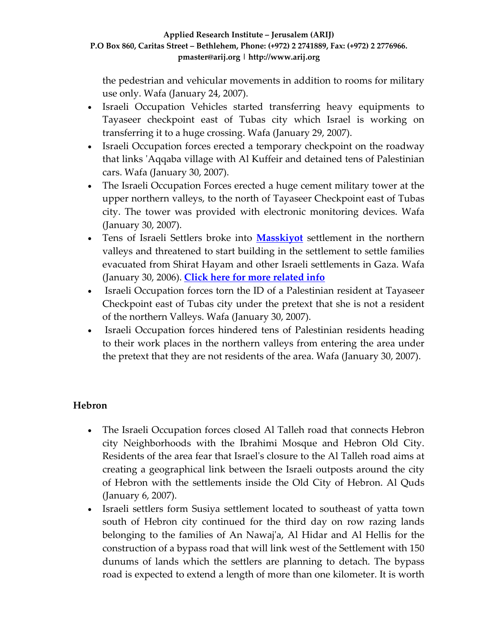the pedestrian and vehicular movements in addition to rooms for military use only. Wafa (January 24, 2007).

- Israeli Occupation Vehicles started transferring heavy equipments to Tayaseer checkpoint east of Tubas city which Israel is working on transferring it to a huge crossing. Wafa (January 29, 2007).
- Israeli Occupation forces erected a temporary checkpoint on the roadway that links ʹAqqaba village with Al Kuffeir and detained tens of Palestinian cars. Wafa (January 30, 2007).
- The Israeli Occupation Forces erected a huge cement military tower at the upper northern valleys, to the north of Tayaseer Checkpoint east of Tubas city. The tower was provided with electronic monitoring devices. Wafa (January 30, 2007).
- Tens of Israeli Settlers broke into **[Masskiyot](http://www.poica.org/editor/case_studies/view.php?recordID=928)** settlement in the northern valleys and threatened to start building in the settlement to settle families evacuated from Shirat Hayam and other Israeli settlements in Gaza. Wafa (January 30, 2006). **Click here for more [related](http://www.poica.org/editor/case_studies/view.php?recordID=928) info**
- Israeli Occupation forces torn the ID of a Palestinian resident at Tayaseer Checkpoint east of Tubas city under the pretext that she is not a resident of the northern Valleys. Wafa (January 30, 2007).
- Israeli Occupation forces hindered tens of Palestinian residents heading to their work places in the northern valleys from entering the area under the pretext that they are not residents of the area. Wafa (January 30, 2007).

# **Hebron**

- The Israeli Occupation forces closed Al Talleh road that connects Hebron city Neighborhoods with the Ibrahimi Mosque and Hebron Old City. Residents of the area fear that Israelʹs closure to the Al Talleh road aims at creating a geographical link between the Israeli outposts around the city of Hebron with the settlements inside the Old City of Hebron. Al Quds (January 6, 2007).
- Israeli settlers form Susiya settlement located to southeast of yatta town south of Hebron city continued for the third day on row razing lands belonging to the families of An Nawaj'a, Al Hidar and Al Hellis for the construction of a bypass road that will link west of the Settlement with 150 dunums of lands which the settlers are planning to detach. The bypass road is expected to extend a length of more than one kilometer. It is worth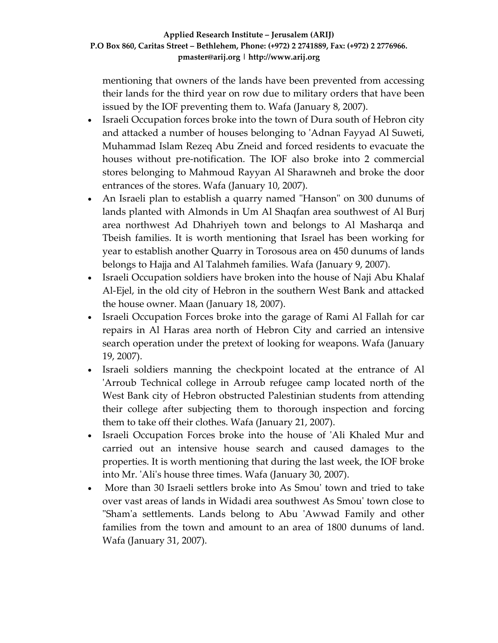mentioning that owners of the lands have been prevented from accessing their lands for the third year on row due to military orders that have been issued by the IOF preventing them to. Wafa (January 8, 2007).

- Israeli Occupation forces broke into the town of Dura south of Hebron city and attacked a number of houses belonging to ʹAdnan Fayyad Al Suweti, Muhammad Islam Rezeq Abu Zneid and forced residents to evacuate the houses without pre‐notification. The IOF also broke into 2 commercial stores belonging to Mahmoud Rayyan Al Sharawneh and broke the door entrances of the stores. Wafa (January 10, 2007).
- An Israeli plan to establish a quarry named "Hanson" on 300 dunums of lands planted with Almonds in Um Al Shaqfan area southwest of Al Burj area northwest Ad Dhahriyeh town and belongs to Al Masharqa and Tbeish families. It is worth mentioning that Israel has been working for year to establish another Quarry in Torosous area on 450 dunums of lands belongs to Hajja and Al Talahmeh families. Wafa (January 9, 2007).
- Israeli Occupation soldiers have broken into the house of Naji Abu Khalaf Al‐Ejel, in the old city of Hebron in the southern West Bank and attacked the house owner. Maan (January 18, 2007).
- Israeli Occupation Forces broke into the garage of Rami Al Fallah for car repairs in Al Haras area north of Hebron City and carried an intensive search operation under the pretext of looking for weapons. Wafa (January 19, 2007).
- Israeli soldiers manning the checkpoint located at the entrance of Al ʹArroub Technical college in Arroub refugee camp located north of the West Bank city of Hebron obstructed Palestinian students from attending their college after subjecting them to thorough inspection and forcing them to take off their clothes. Wafa (January 21, 2007).
- Israeli Occupation Forces broke into the house of 'Ali Khaled Mur and carried out an intensive house search and caused damages to the properties. It is worth mentioning that during the last week, the IOF broke into Mr. ʹAliʹs house three times. Wafa (January 30, 2007).
- More than 30 Israeli settlers broke into As Smouʹ town and tried to take over vast areas of lands in Widadi area southwest As Smouʹ town close to "Sham'a settlements. Lands belong to Abu 'Awwad Family and other families from the town and amount to an area of 1800 dunums of land. Wafa (January 31, 2007).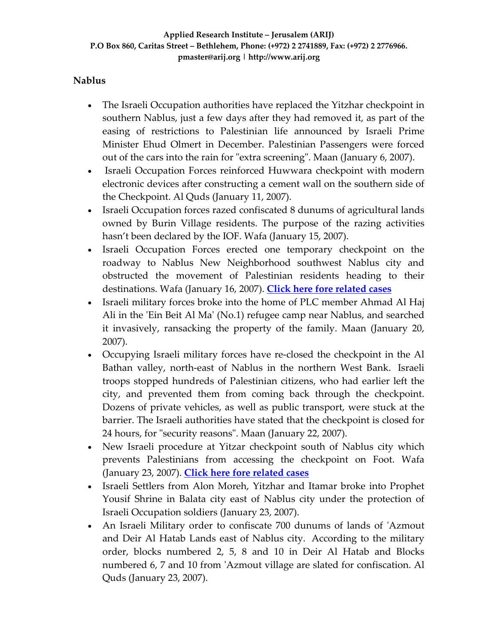# **Nablus**

- The Israeli Occupation authorities have replaced the Yitzhar checkpoint in southern Nablus, just a few days after they had removed it, as part of the easing of restrictions to Palestinian life announced by Israeli Prime Minister Ehud Olmert in December. Palestinian Passengers were forced out of the cars into the rain for "extra screening". Maan (January 6, 2007).
- Israeli Occupation Forces reinforced Huwwara checkpoint with modern electronic devices after constructing a cement wall on the southern side of the Checkpoint. Al Quds (January 11, 2007).
- Israeli Occupation forces razed confiscated 8 dunums of agricultural lands owned by Burin Village residents. The purpose of the razing activities hasn't been declared by the IOF. Wafa (January 15, 2007).
- Israeli Occupation Forces erected one temporary checkpoint on the roadway to Nablus New Neighborhood southwest Nablus city and obstructed the movement of Palestinian residents heading to their destinations. Wafa (January 16, 2007). **Click here fore [related](http://www.poica.org/editor/case_studies/view.php?recordID=946) cases**
- Israeli military forces broke into the home of PLC member Ahmad Al Haj Ali in the 'Ein Beit Al Ma' (No.1) refugee camp near Nablus, and searched it invasively, ransacking the property of the family. Maan (January 20, 2007).
- Occupying Israeli military forces have re-closed the checkpoint in the Al Bathan valley, north‐east of Nablus in the northern West Bank. Israeli troops stopped hundreds of Palestinian citizens, who had earlier left the city, and prevented them from coming back through the checkpoint. Dozens of private vehicles, as well as public transport, were stuck at the barrier. The Israeli authorities have stated that the checkpoint is closed for 24 hours, for "security reasons". Maan (January 22, 2007).
- New Israeli procedure at Yitzar checkpoint south of Nablus city which prevents Palestinians from accessing the checkpoint on Foot. Wafa (January 23, 2007). **Click here fore [related](http://www.poica.org/editor/case_studies/view.php?recordID=946) cases**
- Israeli Settlers from Alon Moreh, Yitzhar and Itamar broke into Prophet Yousif Shrine in Balata city east of Nablus city under the protection of Israeli Occupation soldiers (January 23, 2007).
- An Israeli Military order to confiscate 700 dunums of lands of 'Azmout and Deir Al Hatab Lands east of Nablus city. According to the military order, blocks numbered 2, 5, 8 and 10 in Deir Al Hatab and Blocks numbered 6, 7 and 10 from 'Azmout village are slated for confiscation. Al Quds (January 23, 2007).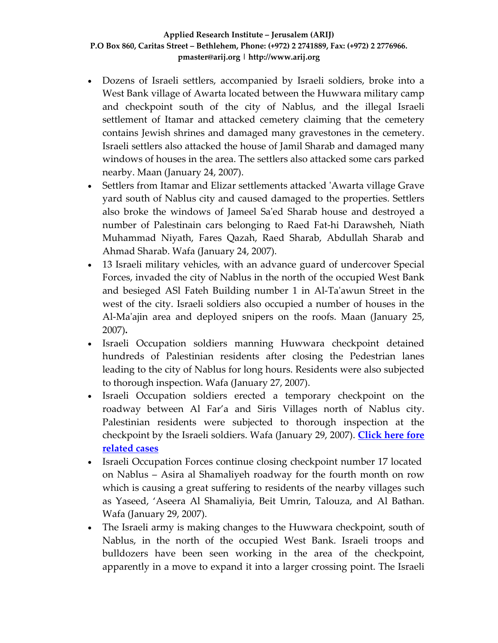- Dozens of Israeli settlers, accompanied by Israeli soldiers, broke into a West Bank village of Awarta located between the Huwwara military camp and checkpoint south of the city of Nablus, and the illegal Israeli settlement of Itamar and attacked cemetery claiming that the cemetery contains Jewish shrines and damaged many gravestones in the cemetery. Israeli settlers also attacked the house of Jamil Sharab and damaged many windows of houses in the area. The settlers also attacked some cars parked nearby. Maan (January 24, 2007).
- Settlers from Itamar and Elizar settlements attacked 'Awarta village Grave yard south of Nablus city and caused damaged to the properties. Settlers also broke the windows of Jameel Saʹed Sharab house and destroyed a number of Palestinain cars belonging to Raed Fat‐hi Darawsheh, Niath Muhammad Niyath, Fares Qazah, Raed Sharab, Abdullah Sharab and Ahmad Sharab. Wafa (January 24, 2007).
- 13 Israeli military vehicles, with an advance guard of undercover Special Forces, invaded the city of Nablus in the north of the occupied West Bank and besieged ASl Fateh Building number 1 in Al‐Taʹawun Street in the west of the city. Israeli soldiers also occupied a number of houses in the Al-Ma'ajin area and deployed snipers on the roofs. Maan (January 25, 2007)**.**
- Israeli Occupation soldiers manning Huwwara checkpoint detained hundreds of Palestinian residents after closing the Pedestrian lanes leading to the city of Nablus for long hours. Residents were also subjected to thorough inspection. Wafa (January 27, 2007).
- Israeli Occupation soldiers erected a temporary checkpoint on the roadway between Al Far'a and Siris Villages north of Nablus city. Palestinian residents were subjected to thorough inspection at the checkpoint by the Israeli soldiers. Wafa (January 29, 2007). **[Click](http://www.poica.org/editor/case_studies/view.php?recordID=946) here fore [related](http://www.poica.org/editor/case_studies/view.php?recordID=946) cases**
- Israeli Occupation Forces continue closing checkpoint number 17 located on Nablus – Asira al Shamaliyeh roadway for the fourth month on row which is causing a great suffering to residents of the nearby villages such as Yaseed, 'Aseera Al Shamaliyia, Beit Umrin, Talouza, and Al Bathan. Wafa (January 29, 2007).
- The Israeli army is making changes to the Huwwara checkpoint, south of Nablus, in the north of the occupied West Bank. Israeli troops and bulldozers have been seen working in the area of the checkpoint, apparently in a move to expand it into a larger crossing point. The Israeli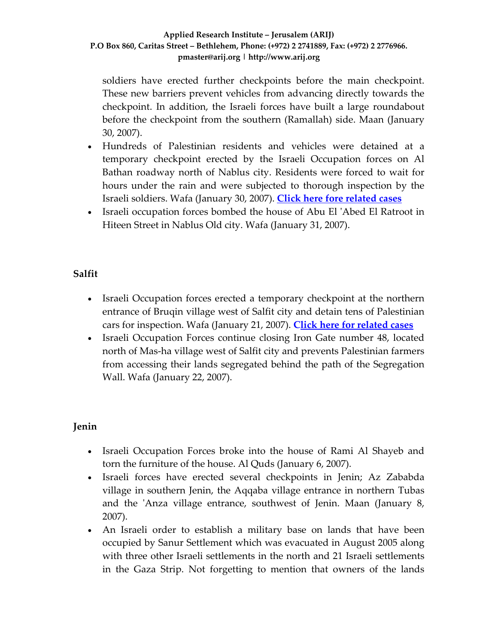soldiers have erected further checkpoints before the main checkpoint. These new barriers prevent vehicles from advancing directly towards the checkpoint. In addition, the Israeli forces have built a large roundabout before the checkpoint from the southern (Ramallah) side. Maan (January 30, 2007).

- Hundreds of Palestinian residents and vehicles were detained at a temporary checkpoint erected by the Israeli Occupation forces on Al Bathan roadway north of Nablus city. Residents were forced to wait for hours under the rain and were subjected to thorough inspection by the Israeli soldiers. Wafa (January 30, 2007). **Click here fore [related](http://www.poica.org/editor/case_studies/view.php?recordID=946) cases**
- Israeli occupation forces bombed the house of Abu El 'Abed El Ratroot in Hiteen Street in Nablus Old city. Wafa (January 31, 2007).

# **Salfit**

- Israeli Occupation forces erected a temporary checkpoint at the northern entrance of Bruqin village west of Salfit city and detain tens of Palestinian cars for inspection. Wafa (January 21, 2007). **[Cl](http://www.poica.org/editor/case_studies/view.php?recordID=863)ick here for [related](http://www.poica.org/editor/case_studies/view.php?recordID=863) cases**
- Israeli Occupation Forces continue closing Iron Gate number 48, located north of Mas‐ha village west of Salfit city and prevents Palestinian farmers from accessing their lands segregated behind the path of the Segregation Wall. Wafa (January 22, 2007).

# **Jenin**

- Israeli Occupation Forces broke into the house of Rami Al Shayeb and torn the furniture of the house. Al Quds (January 6, 2007).
- Israeli forces have erected several checkpoints in Jenin; Az Zababda village in southern Jenin, the Aqqaba village entrance in northern Tubas and the 'Anza village entrance, southwest of Jenin. Maan (January 8, 2007).
- An Israeli order to establish a military base on lands that have been occupied by Sanur Settlement which was evacuated in August 2005 along with three other Israeli settlements in the north and 21 Israeli settlements in the Gaza Strip. Not forgetting to mention that owners of the lands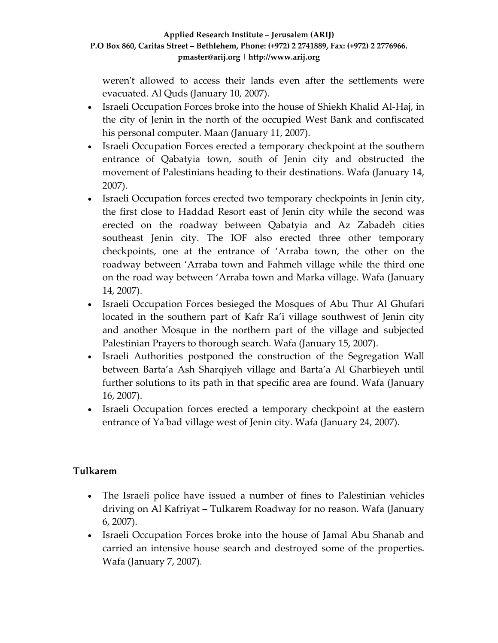weren't allowed to access their lands even after the settlements were evacuated. Al Quds (January 10, 2007).

- Israeli Occupation Forces broke into the house of Shiekh Khalid Al-Haj, in the city of Jenin in the north of the occupied West Bank and confiscated his personal computer. Maan (January 11, 2007).
- Israeli Occupation Forces erected a temporary checkpoint at the southern entrance of Qabatyia town, south of Jenin city and obstructed the movement of Palestinians heading to their destinations. Wafa (January 14, 2007).
- Israeli Occupation forces erected two temporary checkpoints in Jenin city, the first close to Haddad Resort east of Jenin city while the second was erected on the roadway between Qabatyia and Az Zabadeh cities southeast Jenin city. The IOF also erected three other temporary checkpoints, one at the entrance of 'Arraba town, the other on the roadway between 'Arraba town and Fahmeh village while the third one on the road way between 'Arraba town and Marka village. Wafa (January 14, 2007).
- Israeli Occupation Forces besieged the Mosques of Abu Thur Al Ghufari located in the southern part of Kafr Ra'i village southwest of Jenin city and another Mosque in the northern part of the village and subjected Palestinian Prayers to thorough search. Wafa (January 15, 2007).
- Israeli Authorities postponed the construction of the Segregation Wall between Barta'a Ash Sharqiyeh village and Barta'a Al Gharbieyeh until further solutions to its path in that specific area are found. Wafa (January 16, 2007).
- Israeli Occupation forces erected a temporary checkpoint at the eastern entrance of Yaʹbad village west of Jenin city. Wafa (January 24, 2007).

# **Tulkarem**

- The Israeli police have issued a number of fines to Palestinian vehicles driving on Al Kafriyat – Tulkarem Roadway for no reason. Wafa (January 6, 2007).
- Israeli Occupation Forces broke into the house of Jamal Abu Shanab and carried an intensive house search and destroyed some of the properties. Wafa (January 7, 2007).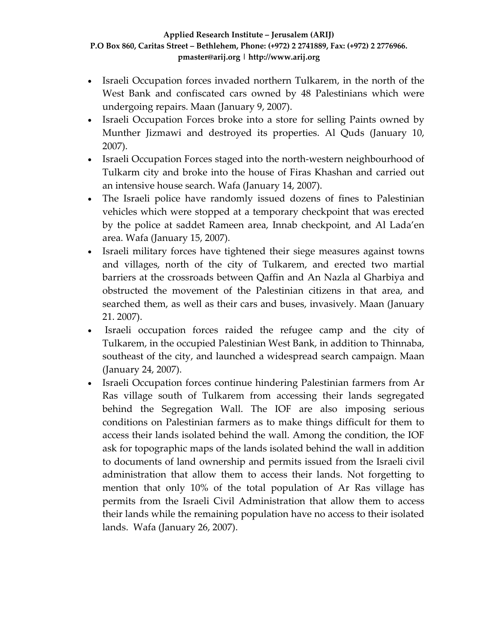- Israeli Occupation forces invaded northern Tulkarem, in the north of the West Bank and confiscated cars owned by 48 Palestinians which were undergoing repairs. Maan (January 9, 2007).
- Israeli Occupation Forces broke into a store for selling Paints owned by Munther Jizmawi and destroyed its properties. Al Quds (January 10, 2007).
- Israeli Occupation Forces staged into the north-western neighbourhood of Tulkarm city and broke into the house of Firas Khashan and carried out an intensive house search. Wafa (January 14, 2007).
- The Israeli police have randomly issued dozens of fines to Palestinian vehicles which were stopped at a temporary checkpoint that was erected by the police at saddet Rameen area, Innab checkpoint, and Al Lada'en area. Wafa (January 15, 2007).
- Israeli military forces have tightened their siege measures against towns and villages, north of the city of Tulkarem, and erected two martial barriers at the crossroads between Qaffin and An Nazla al Gharbiya and obstructed the movement of the Palestinian citizens in that area, and searched them, as well as their cars and buses, invasively. Maan (January 21. 2007).
- Israeli occupation forces raided the refugee camp and the city of Tulkarem, in the occupied Palestinian West Bank, in addition to Thinnaba, southeast of the city, and launched a widespread search campaign. Maan (January 24, 2007).
- Israeli Occupation forces continue hindering Palestinian farmers from Ar Ras village south of Tulkarem from accessing their lands segregated behind the Segregation Wall. The IOF are also imposing serious conditions on Palestinian farmers as to make things difficult for them to access their lands isolated behind the wall. Among the condition, the IOF ask for topographic maps of the lands isolated behind the wall in addition to documents of land ownership and permits issued from the Israeli civil administration that allow them to access their lands. Not forgetting to mention that only 10% of the total population of Ar Ras village has permits from the Israeli Civil Administration that allow them to access their lands while the remaining population have no access to their isolated lands. Wafa (January 26, 2007).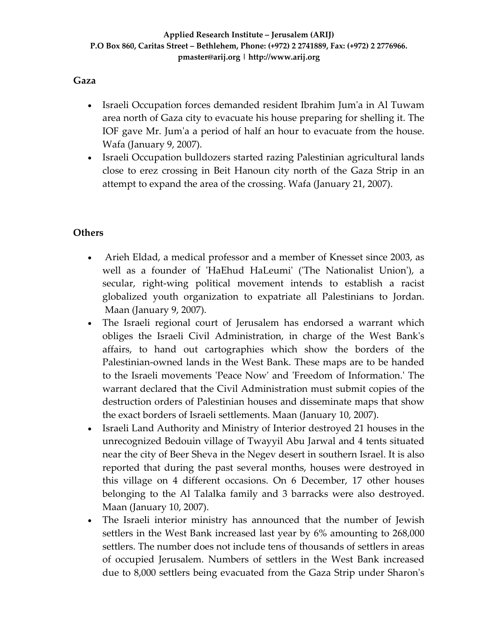# **Gaza**

- Israeli Occupation forces demanded resident Ibrahim Jumʹa in Al Tuwam area north of Gaza city to evacuate his house preparing for shelling it. The IOF gave Mr. Jumʹa a period of half an hour to evacuate from the house. Wafa (January 9, 2007).
- Israeli Occupation bulldozers started razing Palestinian agricultural lands close to erez crossing in Beit Hanoun city north of the Gaza Strip in an attempt to expand the area of the crossing. Wafa (January 21, 2007).

# **Others**

- Arieh Eldad, a medical professor and a member of Knesset since 2003, as well as a founder of 'HaEhud HaLeumi' ('The Nationalist Union'), a secular, right‐wing political movement intends to establish a racist globalized youth organization to expatriate all Palestinians to Jordan. Maan (January 9, 2007).
- The Israeli regional court of Jerusalem has endorsed a warrant which obliges the Israeli Civil Administration, in charge of the West Bankʹs affairs, to hand out cartographies which show the borders of the Palestinian‐owned lands in the West Bank. These maps are to be handed to the Israeli movements ʹPeace Nowʹ and ʹFreedom of Information.ʹ The warrant declared that the Civil Administration must submit copies of the destruction orders of Palestinian houses and disseminate maps that show the exact borders of Israeli settlements. Maan (January 10, 2007).
- Israeli Land Authority and Ministry of Interior destroyed 21 houses in the unrecognized Bedouin village of Twayyil Abu Jarwal and 4 tents situated near the city of Beer Sheva in the Negev desert in southern Israel. It is also reported that during the past several months, houses were destroyed in this village on 4 different occasions. On 6 December, 17 other houses belonging to the Al Talalka family and 3 barracks were also destroyed. Maan (January 10, 2007).
- The Israeli interior ministry has announced that the number of Jewish settlers in the West Bank increased last year by 6% amounting to 268,000 settlers. The number does not include tens of thousands of settlers in areas of occupied Jerusalem. Numbers of settlers in the West Bank increased due to 8,000 settlers being evacuated from the Gaza Strip under Sharonʹs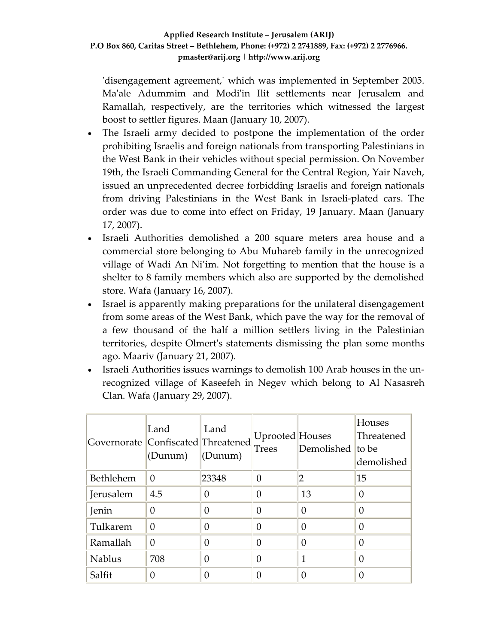'disengagement agreement,' which was implemented in September 2005. Ma'ale Adummim and Modi'in Ilit settlements near Jerusalem and Ramallah, respectively, are the territories which witnessed the largest boost to settler figures. Maan (January 10, 2007).

- The Israeli army decided to postpone the implementation of the order prohibiting Israelis and foreign nationals from transporting Palestinians in the West Bank in their vehicles without special permission. On November 19th, the Israeli Commanding General for the Central Region, Yair Naveh, issued an unprecedented decree forbidding Israelis and foreign nationals from driving Palestinians in the West Bank in Israeli‐plated cars. The order was due to come into effect on Friday, 19 January. Maan (January 17, 2007).
- Israeli Authorities demolished a 200 square meters area house and a commercial store belonging to Abu Muhareb family in the unrecognized village of Wadi An Ni'im. Not forgetting to mention that the house is a shelter to 8 family members which also are supported by the demolished store. Wafa (January 16, 2007).
- Israel is apparently making preparations for the unilateral disengagement from some areas of the West Bank, which pave the way for the removal of a few thousand of the half a million settlers living in the Palestinian territories, despite Olmertʹs statements dismissing the plan some months ago. Maariv (January 21, 2007).
- Israeli Authorities issues warnings to demolish 100 Arab houses in the unrecognized village of Kaseefeh in Negev which belong to Al Nasasreh Clan. Wafa (January 29, 2007).

| Governorate   Confiscated  Threatened | Land<br>(Dunum) | Land<br>(Dunum) | Uprooted Houses<br><b>Trees</b> | Demolished to be | <b>Houses</b><br>Threatened<br>demolished |
|---------------------------------------|-----------------|-----------------|---------------------------------|------------------|-------------------------------------------|
| Bethlehem                             | 0               | 23348           | 0                               |                  | 15                                        |
| Jerusalem                             | 4.5             | 0               | 0                               | 13               |                                           |
| Jenin                                 | 0               |                 | O                               | 0                |                                           |
| Tulkarem                              | $\Omega$        |                 | 0                               | $\Omega$         |                                           |
| Ramallah                              | $\theta$        |                 | 0                               | 0                |                                           |
| <b>Nablus</b>                         | 708             |                 | 0                               | 1                |                                           |
| Salfit                                |                 |                 |                                 | 0                |                                           |